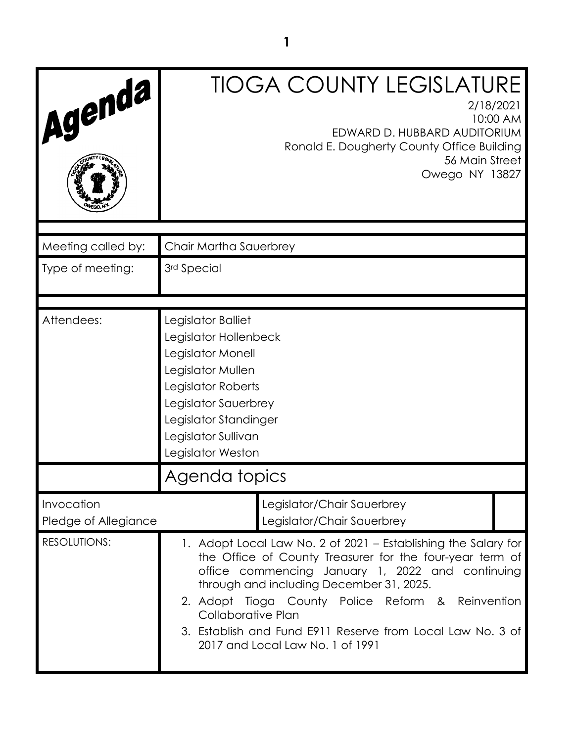| Agenda                             |                                                                                                                                                                                                                                                                                                                                                                                                                | <b>TIOGA COUNTY LEGISLATURE</b><br>2/18/2021<br>EDWARD D. HUBBARD AUDITORIUM<br>Ronald E. Dougherty County Office Building<br>56 Main Street<br>Owego NY 13827 | 10:00 AM |
|------------------------------------|----------------------------------------------------------------------------------------------------------------------------------------------------------------------------------------------------------------------------------------------------------------------------------------------------------------------------------------------------------------------------------------------------------------|----------------------------------------------------------------------------------------------------------------------------------------------------------------|----------|
| Meeting called by:                 | Chair Martha Sauerbrey                                                                                                                                                                                                                                                                                                                                                                                         |                                                                                                                                                                |          |
| Type of meeting:                   | 3rd Special                                                                                                                                                                                                                                                                                                                                                                                                    |                                                                                                                                                                |          |
| Attendees:                         | Legislator Balliet<br>Legislator Hollenbeck<br>Legislator Monell<br>Legislator Mullen<br>Legislator Roberts<br>Legislator Sauerbrey<br>Legislator Standinger<br>Legislator Sullivan<br>Legislator Weston                                                                                                                                                                                                       |                                                                                                                                                                |          |
|                                    | Agenda topics                                                                                                                                                                                                                                                                                                                                                                                                  |                                                                                                                                                                |          |
| Invocation<br>Pledge of Allegiance |                                                                                                                                                                                                                                                                                                                                                                                                                | Legislator/Chair Sauerbrey<br>Legislator/Chair Sauerbrey                                                                                                       |          |
| <b>RESOLUTIONS:</b>                | 1. Adopt Local Law No. 2 of 2021 – Establishing the Salary for<br>the Office of County Treasurer for the four-year term of<br>office commencing January 1, 2022 and continuing<br>through and including December 31, 2025.<br>2. Adopt Tioga County Police Reform & Reinvention<br><b>Collaborative Plan</b><br>3. Establish and Fund E911 Reserve from Local Law No. 3 of<br>2017 and Local Law No. 1 of 1991 |                                                                                                                                                                |          |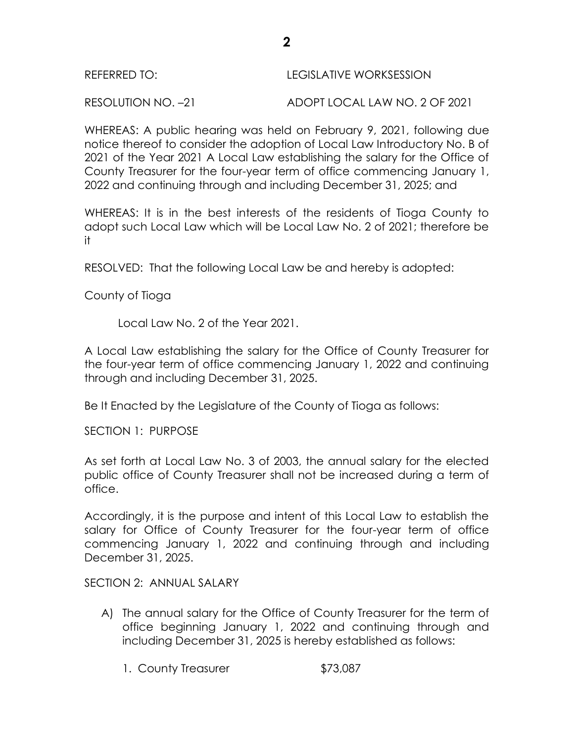| REFERRED TO:       | LEGISLATIVE WORKSESSION       |
|--------------------|-------------------------------|
| RESOLUTION NO. -21 | ADOPT LOCAL LAW NO. 2 OF 2021 |

WHEREAS: A public hearing was held on February 9, 2021, following due notice thereof to consider the adoption of Local Law Introductory No. B of 2021 of the Year 2021 A Local Law establishing the salary for the Office of County Treasurer for the four-year term of office commencing January 1, 2022 and continuing through and including December 31, 2025; and

WHEREAS: It is in the best interests of the residents of Tioga County to adopt such Local Law which will be Local Law No. 2 of 2021; therefore be it

RESOLVED: That the following Local Law be and hereby is adopted:

County of Tioga

Local Law No. 2 of the Year 2021.

A Local Law establishing the salary for the Office of County Treasurer for the four-year term of office commencing January 1, 2022 and continuing through and including December 31, 2025.

Be It Enacted by the Legislature of the County of Tioga as follows:

SECTION 1: PURPOSE

As set forth at Local Law No. 3 of 2003, the annual salary for the elected public office of County Treasurer shall not be increased during a term of office.

Accordingly, it is the purpose and intent of this Local Law to establish the salary for Office of County Treasurer for the four-year term of office commencing January 1, 2022 and continuing through and including December 31, 2025.

SECTION 2: ANNUAL SALARY

- A) The annual salary for the Office of County Treasurer for the term of office beginning January 1, 2022 and continuing through and including December 31, 2025 is hereby established as follows:
	- 1. County Treasurer \$73,087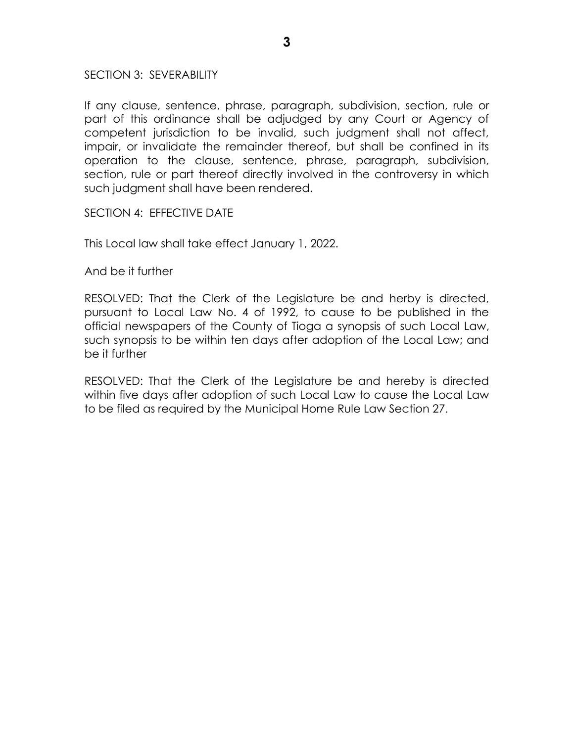SECTION 3: SEVERABILITY

If any clause, sentence, phrase, paragraph, subdivision, section, rule or part of this ordinance shall be adjudged by any Court or Agency of competent jurisdiction to be invalid, such judgment shall not affect, impair, or invalidate the remainder thereof, but shall be confined in its operation to the clause, sentence, phrase, paragraph, subdivision, section, rule or part thereof directly involved in the controversy in which such judgment shall have been rendered.

## SECTION 4: EFFECTIVE DATE

This Local law shall take effect January 1, 2022.

And be it further

RESOLVED: That the Clerk of the Legislature be and herby is directed, pursuant to Local Law No. 4 of 1992, to cause to be published in the official newspapers of the County of Tioga a synopsis of such Local Law, such synopsis to be within ten days after adoption of the Local Law; and be it further

RESOLVED: That the Clerk of the Legislature be and hereby is directed within five days after adoption of such Local Law to cause the Local Law to be filed as required by the Municipal Home Rule Law Section 27.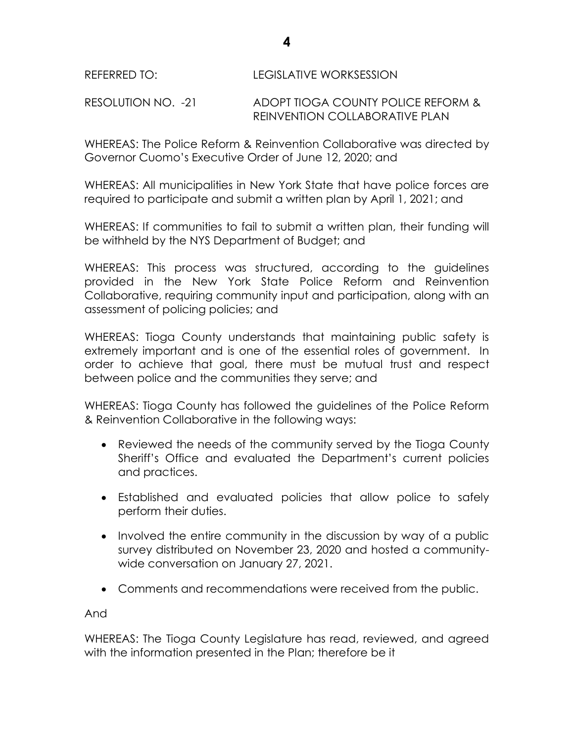## REFERRED TO: LEGISLATIVE WORKSESSION

## RESOLUTION NO. -21 ADOPT TIOGA COUNTY POLICE REFORM & REINVENTION COLLABORATIVE PLAN

WHEREAS: The Police Reform & Reinvention Collaborative was directed by Governor Cuomo's Executive Order of June 12, 2020; and

WHEREAS: All municipalities in New York State that have police forces are required to participate and submit a written plan by April 1, 2021; and

WHEREAS: If communities to fail to submit a written plan, their funding will be withheld by the NYS Department of Budget; and

WHEREAS: This process was structured, according to the guidelines provided in the New York State Police Reform and Reinvention Collaborative, requiring community input and participation, along with an assessment of policing policies; and

WHEREAS: Tioga County understands that maintaining public safety is extremely important and is one of the essential roles of government. In order to achieve that goal, there must be mutual trust and respect between police and the communities they serve; and

WHEREAS: Tioga County has followed the guidelines of the Police Reform & Reinvention Collaborative in the following ways:

- Reviewed the needs of the community served by the Tioga County Sheriff's Office and evaluated the Department's current policies and practices.
- Established and evaluated policies that allow police to safely perform their duties.
- Involved the entire community in the discussion by way of a public survey distributed on November 23, 2020 and hosted a communitywide conversation on January 27, 2021.
- Comments and recommendations were received from the public.

And

WHEREAS: The Tioga County Legislature has read, reviewed, and agreed with the information presented in the Plan; therefore be it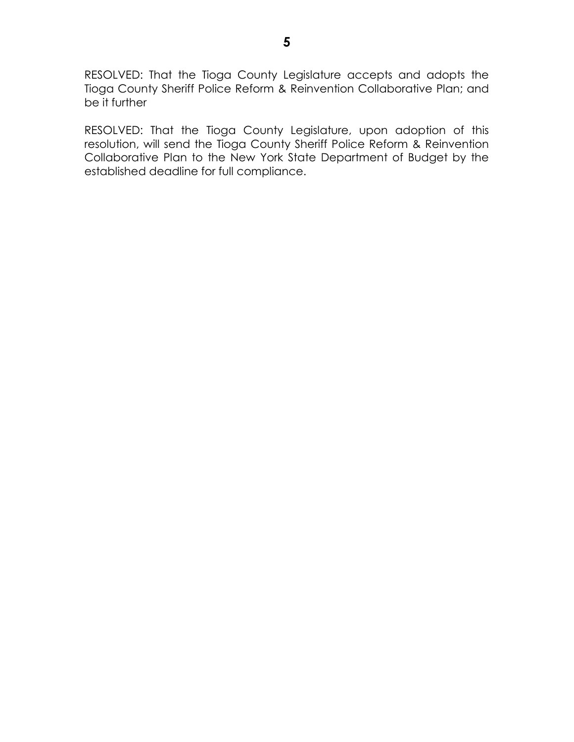RESOLVED: That the Tioga County Legislature accepts and adopts the Tioga County Sheriff Police Reform & Reinvention Collaborative Plan; and be it further

RESOLVED: That the Tioga County Legislature, upon adoption of this resolution, will send the Tioga County Sheriff Police Reform & Reinvention Collaborative Plan to the New York State Department of Budget by the established deadline for full compliance.